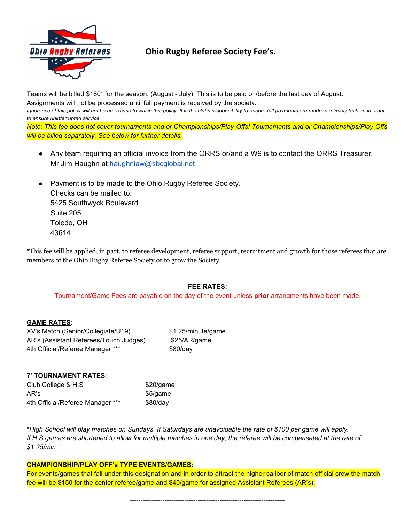

# **Ohio Rugby Referee Society Fee's.**

Teams will be billed \$180\* for the season. (August - July). This is to be paid on/before the last day of August.

Assignments will not be processed until full payment is received by the society.

Ignorance of this policy will not be an excuse to waive this policy. It is the clubs responsibility to ensure full payments are made in a timely fashion in order *to ensure uninterrupted service.*

*Note: This fee does not cover tournaments and or Championships/Play-Offs! Tournaments and or Championships/Play-Offs will be billed separately. See below for further details.*

- Any team requiring an official invoice from the ORRS or/and a W9 is to contact the ORRS Treasurer, Mr Jim Haughn at [haughnlaw@sbcglobal.net](mailto:haughnlaw@sbcglobal.net)
- Payment is to be made to the Ohio Rugby Referee Society. Checks can be mailed to: 5425 Southwyck Boulevard Suite 205 Toledo, OH 43614

\*This fee will be applied, in part, to referee development, referee support, recruitment and growth for those referees that are members of the Ohio Rugby Referee Society or to grow the Society.

### **FEE RATES:**

Tournament/Game Fees are payable on the day of the event unless **prior** arrangments have been made.

### **GAME RATES**:

XV's Match (Senior/Collegiate/U19) \$1.25/minute/game AR's (Assistant Referees/Touch Judges) \$25/AR/game 4th Official/Referee Manager \*\*\* \$80/day

## **7' TOURNAMENT RATES**:

Club, College & H.S \$20/game AR's \$5/game 4th Official/Referee Manager \*\*\* \$80/day

\*High School will play matches on Sundays. If Saturdays are unavoidable the rate of \$100 per game will apply. If H.S games are shortened to allow for multiple matches in one day, the referee will be compensated at the rate of *\$1.25/min.*

#### **CHAMPIONSHIP/PLAY OFF's TYPE EVENTS/GAMES:**

For events/games that fall under this designation and in order to attract the higher caliber of match official crew the match fee will be \$150 for the center referee/game and \$40/game for assigned Assistant Referees (AR's).

-----------------------------------------------------------------------